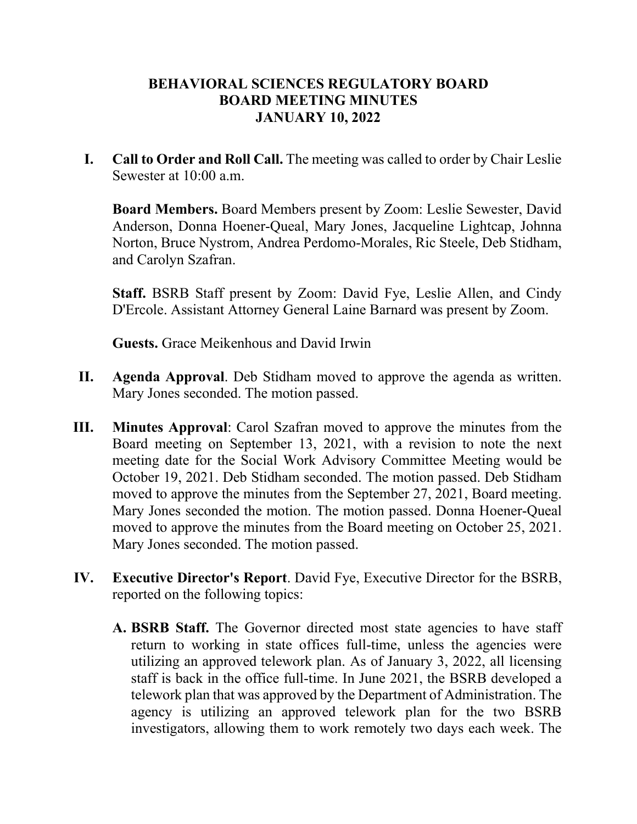## **BEHAVIORAL SCIENCES REGULATORY BOARD BOARD MEETING MINUTES JANUARY 10, 2022**

**I. Call to Order and Roll Call.** The meeting was called to order by Chair Leslie Sewester at 10:00 a.m.

**Board Members.** Board Members present by Zoom: Leslie Sewester, David Anderson, Donna Hoener-Queal, Mary Jones, Jacqueline Lightcap, Johnna Norton, Bruce Nystrom, Andrea Perdomo-Morales, Ric Steele, Deb Stidham, and Carolyn Szafran.

**Staff.** BSRB Staff present by Zoom: David Fye, Leslie Allen, and Cindy D'Ercole. Assistant Attorney General Laine Barnard was present by Zoom.

**Guests.** Grace Meikenhous and David Irwin

- **II. Agenda Approval**. Deb Stidham moved to approve the agenda as written. Mary Jones seconded. The motion passed.
- **III. Minutes Approval**: Carol Szafran moved to approve the minutes from the Board meeting on September 13, 2021, with a revision to note the next meeting date for the Social Work Advisory Committee Meeting would be October 19, 2021. Deb Stidham seconded. The motion passed. Deb Stidham moved to approve the minutes from the September 27, 2021, Board meeting. Mary Jones seconded the motion. The motion passed. Donna Hoener-Queal moved to approve the minutes from the Board meeting on October 25, 2021. Mary Jones seconded. The motion passed.
- **IV. Executive Director's Report**. David Fye, Executive Director for the BSRB, reported on the following topics:
	- **A. BSRB Staff.** The Governor directed most state agencies to have staff return to working in state offices full-time, unless the agencies were utilizing an approved telework plan. As of January 3, 2022, all licensing staff is back in the office full-time. In June 2021, the BSRB developed a telework plan that was approved by the Department of Administration. The agency is utilizing an approved telework plan for the two BSRB investigators, allowing them to work remotely two days each week. The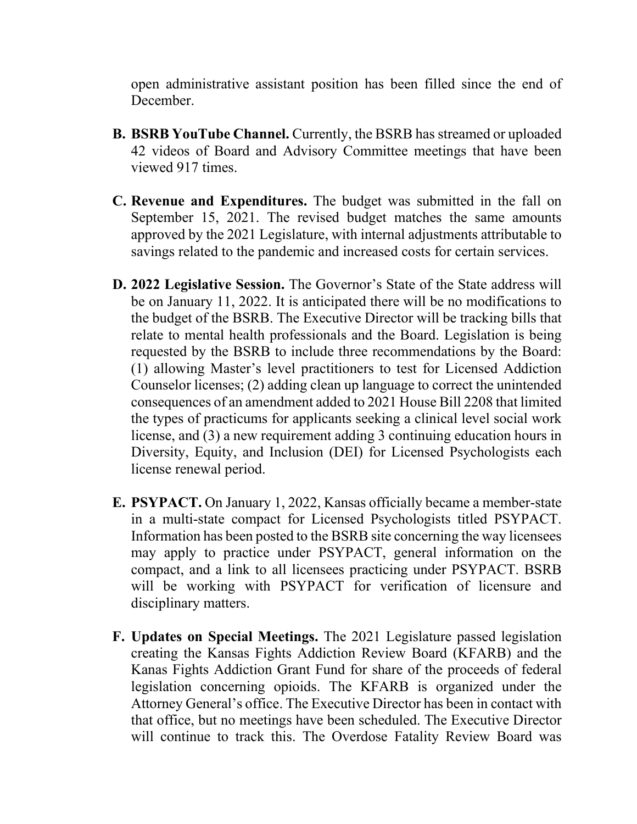open administrative assistant position has been filled since the end of December.

- **B. BSRB YouTube Channel.** Currently, the BSRB has streamed or uploaded 42 videos of Board and Advisory Committee meetings that have been viewed 917 times.
- **C. Revenue and Expenditures.** The budget was submitted in the fall on September 15, 2021. The revised budget matches the same amounts approved by the 2021 Legislature, with internal adjustments attributable to savings related to the pandemic and increased costs for certain services.
- **D. 2022 Legislative Session.** The Governor's State of the State address will be on January 11, 2022. It is anticipated there will be no modifications to the budget of the BSRB. The Executive Director will be tracking bills that relate to mental health professionals and the Board. Legislation is being requested by the BSRB to include three recommendations by the Board: (1) allowing Master's level practitioners to test for Licensed Addiction Counselor licenses; (2) adding clean up language to correct the unintended consequences of an amendment added to 2021 House Bill 2208 that limited the types of practicums for applicants seeking a clinical level social work license, and (3) a new requirement adding 3 continuing education hours in Diversity, Equity, and Inclusion (DEI) for Licensed Psychologists each license renewal period.
- **E. PSYPACT.** On January 1, 2022, Kansas officially became a member-state in a multi-state compact for Licensed Psychologists titled PSYPACT. Information has been posted to the BSRB site concerning the way licensees may apply to practice under PSYPACT, general information on the compact, and a link to all licensees practicing under PSYPACT. BSRB will be working with PSYPACT for verification of licensure and disciplinary matters.
- **F. Updates on Special Meetings.** The 2021 Legislature passed legislation creating the Kansas Fights Addiction Review Board (KFARB) and the Kanas Fights Addiction Grant Fund for share of the proceeds of federal legislation concerning opioids. The KFARB is organized under the Attorney General's office. The Executive Director has been in contact with that office, but no meetings have been scheduled. The Executive Director will continue to track this. The Overdose Fatality Review Board was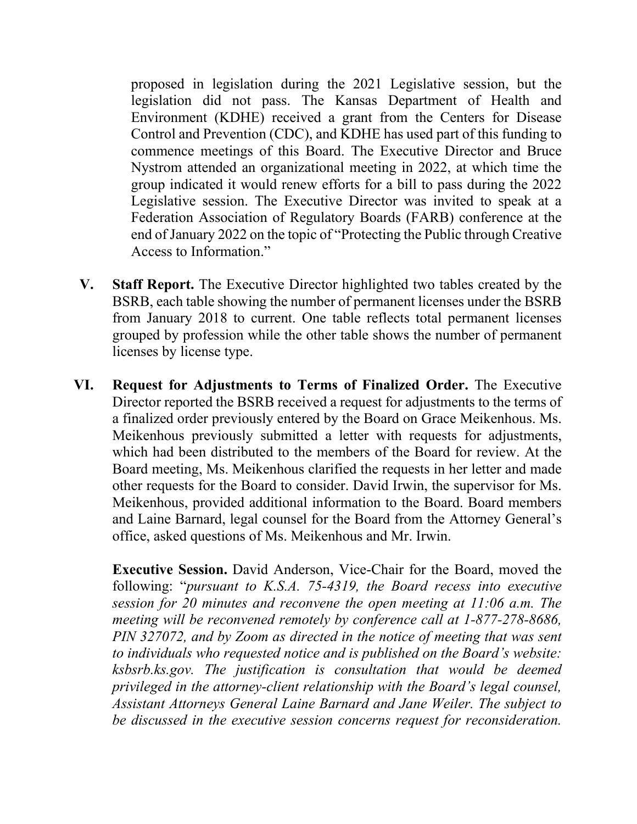proposed in legislation during the 2021 Legislative session, but the legislation did not pass. The Kansas Department of Health and Environment (KDHE) received a grant from the Centers for Disease Control and Prevention (CDC), and KDHE has used part of this funding to commence meetings of this Board. The Executive Director and Bruce Nystrom attended an organizational meeting in 2022, at which time the group indicated it would renew efforts for a bill to pass during the 2022 Legislative session. The Executive Director was invited to speak at a Federation Association of Regulatory Boards (FARB) conference at the end of January 2022 on the topic of "Protecting the Public through Creative Access to Information."

- **V. Staff Report.** The Executive Director highlighted two tables created by the BSRB, each table showing the number of permanent licenses under the BSRB from January 2018 to current. One table reflects total permanent licenses grouped by profession while the other table shows the number of permanent licenses by license type.
- **VI. Request for Adjustments to Terms of Finalized Order.** The Executive Director reported the BSRB received a request for adjustments to the terms of a finalized order previously entered by the Board on Grace Meikenhous. Ms. Meikenhous previously submitted a letter with requests for adjustments, which had been distributed to the members of the Board for review. At the Board meeting, Ms. Meikenhous clarified the requests in her letter and made other requests for the Board to consider. David Irwin, the supervisor for Ms. Meikenhous, provided additional information to the Board. Board members and Laine Barnard, legal counsel for the Board from the Attorney General's office, asked questions of Ms. Meikenhous and Mr. Irwin.

**Executive Session.** David Anderson, Vice-Chair for the Board, moved the following: "*pursuant to K.S.A. 75-4319, the Board recess into executive session for 20 minutes and reconvene the open meeting at 11:06 a.m. The meeting will be reconvened remotely by conference call at 1-877-278-8686, PIN 327072, and by Zoom as directed in the notice of meeting that was sent to individuals who requested notice and is published on the Board's website: ksbsrb.ks.gov. The justification is consultation that would be deemed privileged in the attorney-client relationship with the Board's legal counsel, Assistant Attorneys General Laine Barnard and Jane Weiler. The subject to be discussed in the executive session concerns request for reconsideration.*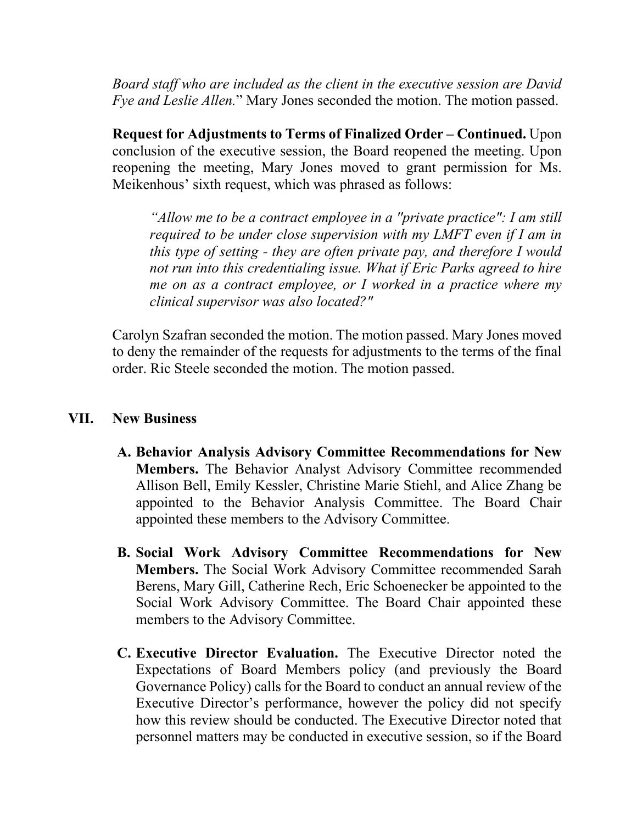*Board staff who are included as the client in the executive session are David Fye and Leslie Allen.*" Mary Jones seconded the motion. The motion passed.

**Request for Adjustments to Terms of Finalized Order – Continued.** Upon conclusion of the executive session, the Board reopened the meeting. Upon reopening the meeting, Mary Jones moved to grant permission for Ms. Meikenhous' sixth request, which was phrased as follows:

*"Allow me to be a contract employee in a ''private practice": I am still required to be under close supervision with my LMFT even if I am in this type of setting - they are often private pay, and therefore I would not run into this credentialing issue. What if Eric Parks agreed to hire me on as a contract employee, or I worked in a practice where my clinical supervisor was also located?"* 

Carolyn Szafran seconded the motion. The motion passed. Mary Jones moved to deny the remainder of the requests for adjustments to the terms of the final order. Ric Steele seconded the motion. The motion passed.

## **VII. New Business**

- **A. Behavior Analysis Advisory Committee Recommendations for New Members.** The Behavior Analyst Advisory Committee recommended Allison Bell, Emily Kessler, Christine Marie Stiehl, and Alice Zhang be appointed to the Behavior Analysis Committee. The Board Chair appointed these members to the Advisory Committee.
- **B. Social Work Advisory Committee Recommendations for New Members.** The Social Work Advisory Committee recommended Sarah Berens, Mary Gill, Catherine Rech, Eric Schoenecker be appointed to the Social Work Advisory Committee. The Board Chair appointed these members to the Advisory Committee.
- **C. Executive Director Evaluation.** The Executive Director noted the Expectations of Board Members policy (and previously the Board Governance Policy) calls for the Board to conduct an annual review of the Executive Director's performance, however the policy did not specify how this review should be conducted. The Executive Director noted that personnel matters may be conducted in executive session, so if the Board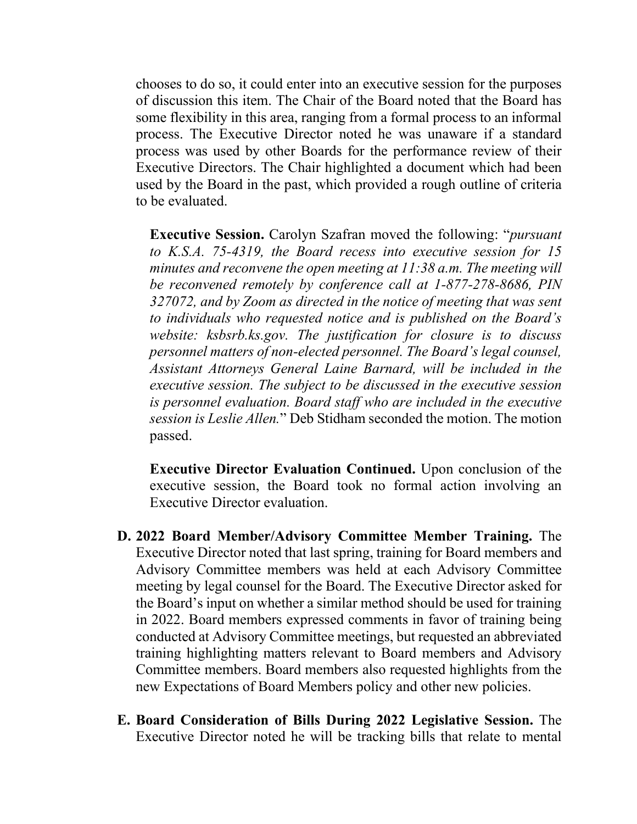chooses to do so, it could enter into an executive session for the purposes of discussion this item. The Chair of the Board noted that the Board has some flexibility in this area, ranging from a formal process to an informal process. The Executive Director noted he was unaware if a standard process was used by other Boards for the performance review of their Executive Directors. The Chair highlighted a document which had been used by the Board in the past, which provided a rough outline of criteria to be evaluated.

**Executive Session.** Carolyn Szafran moved the following: "*pursuant to K.S.A. 75-4319, the Board recess into executive session for 15 minutes and reconvene the open meeting at 11:38 a.m. The meeting will be reconvened remotely by conference call at 1-877-278-8686, PIN 327072, and by Zoom as directed in the notice of meeting that was sent to individuals who requested notice and is published on the Board's website: ksbsrb.ks.gov. The justification for closure is to discuss personnel matters of non-elected personnel. The Board's legal counsel, Assistant Attorneys General Laine Barnard, will be included in the executive session. The subject to be discussed in the executive session is personnel evaluation. Board staff who are included in the executive session is Leslie Allen.*" Deb Stidham seconded the motion. The motion passed.

**Executive Director Evaluation Continued.** Upon conclusion of the executive session, the Board took no formal action involving an Executive Director evaluation.

- **D. 2022 Board Member/Advisory Committee Member Training.** The Executive Director noted that last spring, training for Board members and Advisory Committee members was held at each Advisory Committee meeting by legal counsel for the Board. The Executive Director asked for the Board's input on whether a similar method should be used for training in 2022. Board members expressed comments in favor of training being conducted at Advisory Committee meetings, but requested an abbreviated training highlighting matters relevant to Board members and Advisory Committee members. Board members also requested highlights from the new Expectations of Board Members policy and other new policies.
- **E. Board Consideration of Bills During 2022 Legislative Session.** The Executive Director noted he will be tracking bills that relate to mental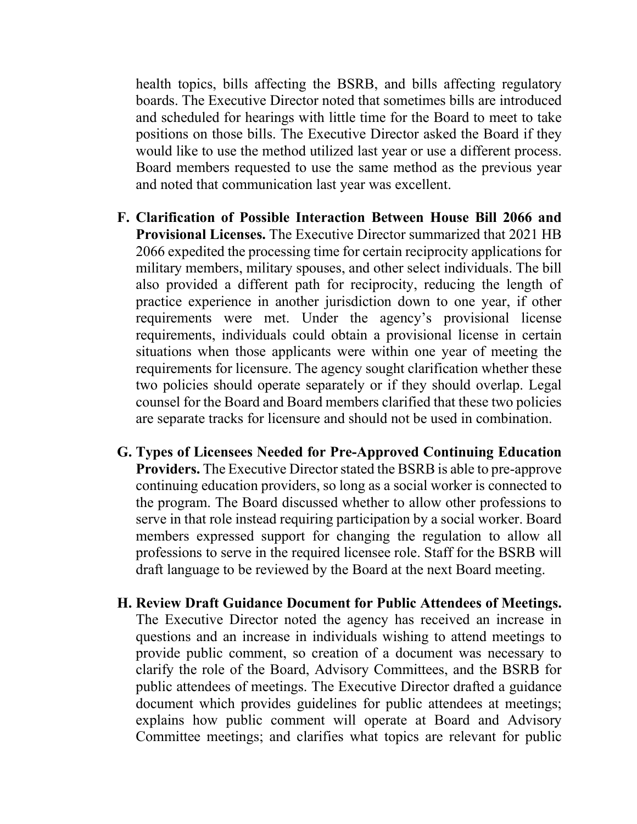health topics, bills affecting the BSRB, and bills affecting regulatory boards. The Executive Director noted that sometimes bills are introduced and scheduled for hearings with little time for the Board to meet to take positions on those bills. The Executive Director asked the Board if they would like to use the method utilized last year or use a different process. Board members requested to use the same method as the previous year and noted that communication last year was excellent.

- **F. Clarification of Possible Interaction Between House Bill 2066 and Provisional Licenses.** The Executive Director summarized that 2021 HB 2066 expedited the processing time for certain reciprocity applications for military members, military spouses, and other select individuals. The bill also provided a different path for reciprocity, reducing the length of practice experience in another jurisdiction down to one year, if other requirements were met. Under the agency's provisional license requirements, individuals could obtain a provisional license in certain situations when those applicants were within one year of meeting the requirements for licensure. The agency sought clarification whether these two policies should operate separately or if they should overlap. Legal counsel for the Board and Board members clarified that these two policies are separate tracks for licensure and should not be used in combination.
- **G. Types of Licensees Needed for Pre-Approved Continuing Education Providers.** The Executive Director stated the BSRB is able to pre-approve continuing education providers, so long as a social worker is connected to the program. The Board discussed whether to allow other professions to serve in that role instead requiring participation by a social worker. Board members expressed support for changing the regulation to allow all professions to serve in the required licensee role. Staff for the BSRB will draft language to be reviewed by the Board at the next Board meeting.
- **H. Review Draft Guidance Document for Public Attendees of Meetings.** The Executive Director noted the agency has received an increase in questions and an increase in individuals wishing to attend meetings to provide public comment, so creation of a document was necessary to clarify the role of the Board, Advisory Committees, and the BSRB for public attendees of meetings. The Executive Director drafted a guidance document which provides guidelines for public attendees at meetings; explains how public comment will operate at Board and Advisory Committee meetings; and clarifies what topics are relevant for public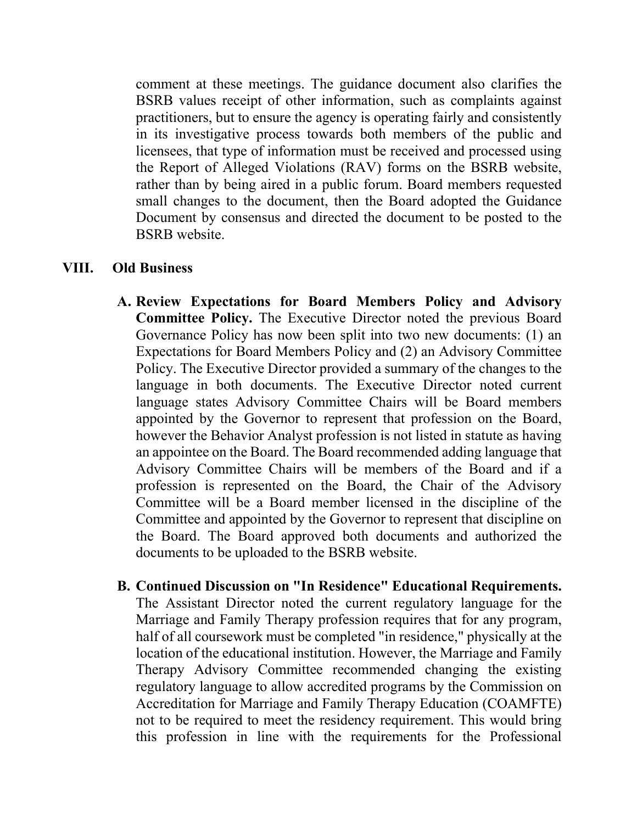comment at these meetings. The guidance document also clarifies the BSRB values receipt of other information, such as complaints against practitioners, but to ensure the agency is operating fairly and consistently in its investigative process towards both members of the public and licensees, that type of information must be received and processed using the Report of Alleged Violations (RAV) forms on the BSRB website, rather than by being aired in a public forum. Board members requested small changes to the document, then the Board adopted the Guidance Document by consensus and directed the document to be posted to the BSRB website.

## **VIII. Old Business**

- **A. Review Expectations for Board Members Policy and Advisory Committee Policy.** The Executive Director noted the previous Board Governance Policy has now been split into two new documents: (1) an Expectations for Board Members Policy and (2) an Advisory Committee Policy. The Executive Director provided a summary of the changes to the language in both documents. The Executive Director noted current language states Advisory Committee Chairs will be Board members appointed by the Governor to represent that profession on the Board, however the Behavior Analyst profession is not listed in statute as having an appointee on the Board. The Board recommended adding language that Advisory Committee Chairs will be members of the Board and if a profession is represented on the Board, the Chair of the Advisory Committee will be a Board member licensed in the discipline of the Committee and appointed by the Governor to represent that discipline on the Board. The Board approved both documents and authorized the documents to be uploaded to the BSRB website.
- **B. Continued Discussion on "In Residence" Educational Requirements.** The Assistant Director noted the current regulatory language for the Marriage and Family Therapy profession requires that for any program, half of all coursework must be completed "in residence," physically at the location of the educational institution. However, the Marriage and Family Therapy Advisory Committee recommended changing the existing regulatory language to allow accredited programs by the Commission on Accreditation for Marriage and Family Therapy Education (COAMFTE) not to be required to meet the residency requirement. This would bring this profession in line with the requirements for the Professional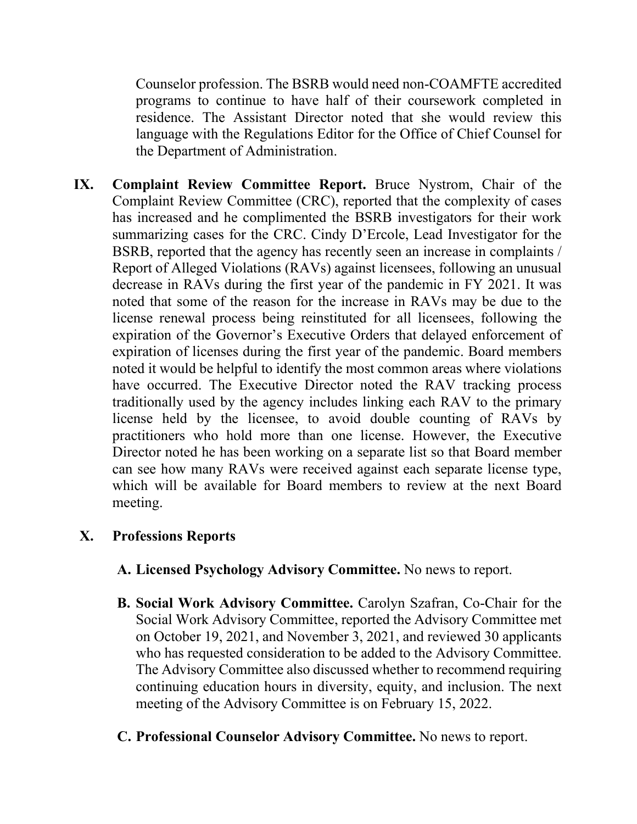Counselor profession. The BSRB would need non-COAMFTE accredited programs to continue to have half of their coursework completed in residence. The Assistant Director noted that she would review this language with the Regulations Editor for the Office of Chief Counsel for the Department of Administration.

**IX. Complaint Review Committee Report.** Bruce Nystrom, Chair of the Complaint Review Committee (CRC), reported that the complexity of cases has increased and he complimented the BSRB investigators for their work summarizing cases for the CRC. Cindy D'Ercole, Lead Investigator for the BSRB, reported that the agency has recently seen an increase in complaints / Report of Alleged Violations (RAVs) against licensees, following an unusual decrease in RAVs during the first year of the pandemic in FY 2021. It was noted that some of the reason for the increase in RAVs may be due to the license renewal process being reinstituted for all licensees, following the expiration of the Governor's Executive Orders that delayed enforcement of expiration of licenses during the first year of the pandemic. Board members noted it would be helpful to identify the most common areas where violations have occurred. The Executive Director noted the RAV tracking process traditionally used by the agency includes linking each RAV to the primary license held by the licensee, to avoid double counting of RAVs by practitioners who hold more than one license. However, the Executive Director noted he has been working on a separate list so that Board member can see how many RAVs were received against each separate license type, which will be available for Board members to review at the next Board meeting.

## **X. Professions Reports**

- **A. Licensed Psychology Advisory Committee.** No news to report.
- **B. Social Work Advisory Committee.** Carolyn Szafran, Co-Chair for the Social Work Advisory Committee, reported the Advisory Committee met on October 19, 2021, and November 3, 2021, and reviewed 30 applicants who has requested consideration to be added to the Advisory Committee. The Advisory Committee also discussed whether to recommend requiring continuing education hours in diversity, equity, and inclusion. The next meeting of the Advisory Committee is on February 15, 2022.
- **C. Professional Counselor Advisory Committee.** No news to report.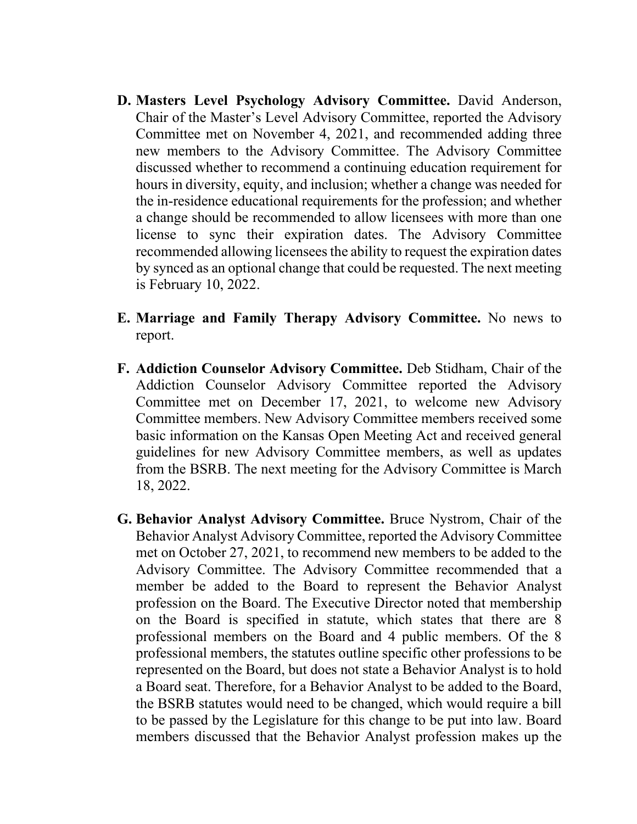- **D. Masters Level Psychology Advisory Committee.** David Anderson, Chair of the Master's Level Advisory Committee, reported the Advisory Committee met on November 4, 2021, and recommended adding three new members to the Advisory Committee. The Advisory Committee discussed whether to recommend a continuing education requirement for hours in diversity, equity, and inclusion; whether a change was needed for the in-residence educational requirements for the profession; and whether a change should be recommended to allow licensees with more than one license to sync their expiration dates. The Advisory Committee recommended allowing licensees the ability to request the expiration dates by synced as an optional change that could be requested. The next meeting is February 10, 2022.
- **E. Marriage and Family Therapy Advisory Committee.** No news to report.
- **F. Addiction Counselor Advisory Committee.** Deb Stidham, Chair of the Addiction Counselor Advisory Committee reported the Advisory Committee met on December 17, 2021, to welcome new Advisory Committee members. New Advisory Committee members received some basic information on the Kansas Open Meeting Act and received general guidelines for new Advisory Committee members, as well as updates from the BSRB. The next meeting for the Advisory Committee is March 18, 2022.
- **G. Behavior Analyst Advisory Committee.** Bruce Nystrom, Chair of the Behavior Analyst Advisory Committee, reported the Advisory Committee met on October 27, 2021, to recommend new members to be added to the Advisory Committee. The Advisory Committee recommended that a member be added to the Board to represent the Behavior Analyst profession on the Board. The Executive Director noted that membership on the Board is specified in statute, which states that there are 8 professional members on the Board and 4 public members. Of the 8 professional members, the statutes outline specific other professions to be represented on the Board, but does not state a Behavior Analyst is to hold a Board seat. Therefore, for a Behavior Analyst to be added to the Board, the BSRB statutes would need to be changed, which would require a bill to be passed by the Legislature for this change to be put into law. Board members discussed that the Behavior Analyst profession makes up the